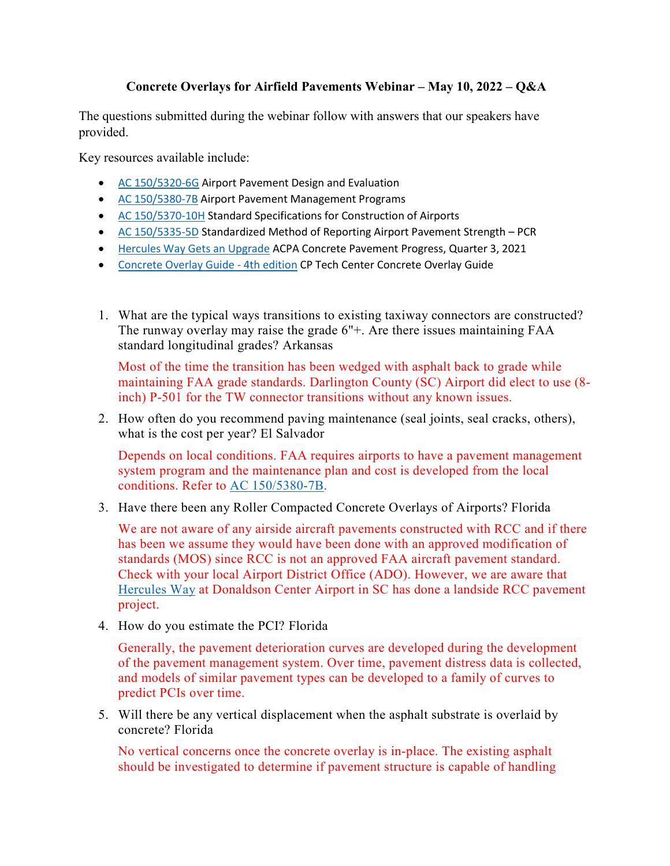## **Concrete Overlays for Airfield Pavements Webinar – May 10, 2022 – Q&A**

The questions submitted during the webinar follow with answers that our speakers have provided.

Key resources available include:

- [AC 150/5320-6G](https://www.faa.gov/documentLibrary/media/Advisory_Circular/150-5320-6G-Pavement-Design.pdf) Airport Pavement Design and Evaluation
- AC [150/5380-7B](https://www.faa.gov/documentLibrary/media/Advisory_Circular/150-5380-7B.pdf) Airport Pavement Management Programs
- [AC 150/5370-10H](https://www.faa.gov/documentLibrary/media/Advisory_Circular/150-5370-10H.pdf) Standard Specifications for Construction of Airports
- [AC 150/5335-5D](https://www.faa.gov/documentLibrary/media/Advisory_Circular/150-5335-5D-pavement-strenth.pdf) Standardized Method of Reporting Airport Pavement Strength PCR
- [Hercules Way Gets](https://www.associationpublications.com/flipbook/acpa/2021/Q3/16/index.html) an Upgrade ACPA Concrete Pavement Progress, Quarter 3, 2021
- [Concrete Overlay Guide 4th edition](https://intrans.iastate.edu/app/uploads/2021/11/guide_to_concrete_overlays_4th_Ed_web.pdf) CP Tech Center Concrete Overlay Guide
- 1. What are the typical ways transitions to existing taxiway connectors are constructed? The runway overlay may raise the grade 6"+. Are there issues maintaining FAA standard longitudinal grades? Arkansas

Most of the time the transition has been wedged with asphalt back to grade while maintaining FAA grade standards. Darlington County (SC) Airport did elect to use (8 inch) P-501 for the TW connector transitions without any known issues.

2. How often do you recommend paving maintenance (seal joints, seal cracks, others), what is the cost per year? El Salvador

Depends on local conditions. FAA requires airports to have a pavement management system program and the maintenance plan and cost is developed from the local conditions. Refer to [AC 150/5380-7B.](https://www.faa.gov/documentLibrary/media/Advisory_Circular/150-5380-7B.pdf)

3. Have there been any Roller Compacted Concrete Overlays of Airports? Florida

We are not aware of any airside aircraft pavements constructed with RCC and if there has been we assume they would have been done with an approved modification of standards (MOS) since RCC is not an approved FAA aircraft pavement standard. Check with your local Airport District Office (ADO). However, we are aware that [Hercules Way](https://www.associationpublications.com/flipbook/acpa/2021/Q3/16/index.html) at Donaldson Center Airport in SC has done a landside RCC pavement project.

4. How do you estimate the PCI? Florida

Generally, the pavement deterioration curves are developed during the development of the pavement management system. Over time, pavement distress data is collected, and models of similar pavement types can be developed to a family of curves to predict PCIs over time.

5. Will there be any vertical displacement when the asphalt substrate is overlaid by concrete? Florida

No vertical concerns once the concrete overlay is in-place. The existing asphalt should be investigated to determine if pavement structure is capable of handling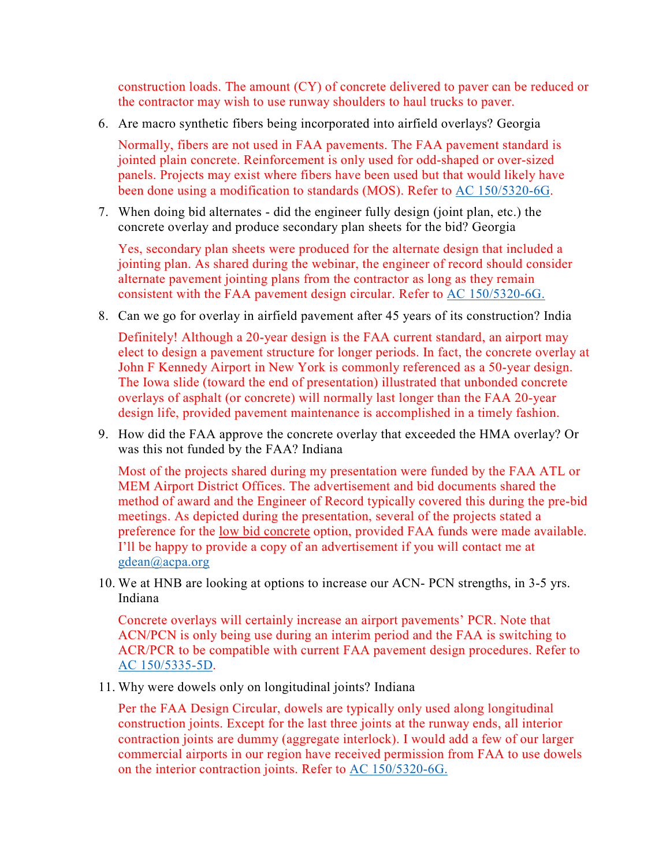construction loads. The amount (CY) of concrete delivered to paver can be reduced or the contractor may wish to use runway shoulders to haul trucks to paver.

6. Are macro synthetic fibers being incorporated into airfield overlays? Georgia

Normally, fibers are not used in FAA pavements. The FAA pavement standard is jointed plain concrete. Reinforcement is only used for odd-shaped or over-sized panels. Projects may exist where fibers have been used but that would likely have been done using a modification to standards (MOS). Refer to [AC 150/5320-6G.](https://www.faa.gov/documentLibrary/media/Advisory_Circular/150-5320-6G-Pavement-Design.pdf)

7. When doing bid alternates - did the engineer fully design (joint plan, etc.) the concrete overlay and produce secondary plan sheets for the bid? Georgia

Yes, secondary plan sheets were produced for the alternate design that included a jointing plan. As shared during the webinar, the engineer of record should consider alternate pavement jointing plans from the contractor as long as they remain consistent with the FAA pavement design circular. Refer to [AC 150/5320-6G.](https://www.faa.gov/documentLibrary/media/Advisory_Circular/150-5320-6G-Pavement-Design.pdf)

8. Can we go for overlay in airfield pavement after 45 years of its construction? India

Definitely! Although a 20-year design is the FAA current standard, an airport may elect to design a pavement structure for longer periods. In fact, the concrete overlay at John F Kennedy Airport in New York is commonly referenced as a 50-year design. The Iowa slide (toward the end of presentation) illustrated that unbonded concrete overlays of asphalt (or concrete) will normally last longer than the FAA 20-year design life, provided pavement maintenance is accomplished in a timely fashion.

9. How did the FAA approve the concrete overlay that exceeded the HMA overlay? Or was this not funded by the FAA? Indiana

Most of the projects shared during my presentation were funded by the FAA ATL or MEM Airport District Offices. The advertisement and bid documents shared the method of award and the Engineer of Record typically covered this during the pre-bid meetings. As depicted during the presentation, several of the projects stated a preference for the low bid concrete option, provided FAA funds were made available. I'll be happy to provide a copy of an advertisement if you will contact me at [gdean@acpa.org](mailto:gdean@acpa.org) 

10. We at HNB are looking at options to increase our ACN- PCN strengths, in 3-5 yrs. Indiana

Concrete overlays will certainly increase an airport pavements' PCR. Note that ACN/PCN is only being use during an interim period and the FAA is switching to ACR/PCR to be compatible with current FAA pavement design procedures. Refer to [AC 150/5335-5D.](https://www.faa.gov/documentLibrary/media/Advisory_Circular/150-5335-5D-pavement-strenth.pdf)

11. Why were dowels only on longitudinal joints? Indiana

Per the FAA Design Circular, dowels are typically only used along longitudinal construction joints. Except for the last three joints at the runway ends, all interior contraction joints are dummy (aggregate interlock). I would add a few of our larger commercial airports in our region have received permission from FAA to use dowels on the interior contraction joints. Refer to [AC 150/5320-6G.](https://www.faa.gov/documentLibrary/media/Advisory_Circular/150-5320-6G-Pavement-Design.pdf)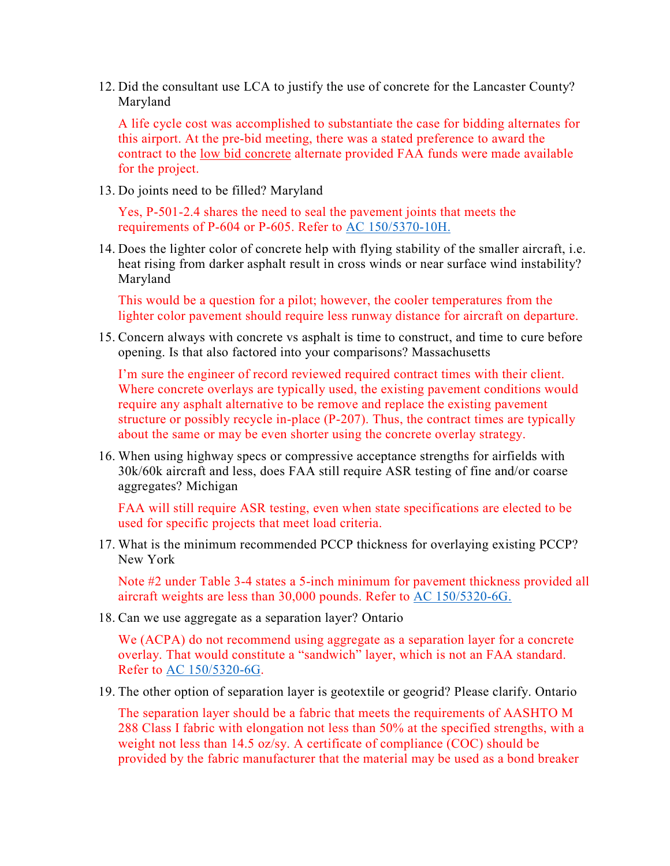12. Did the consultant use LCA to justify the use of concrete for the Lancaster County? Maryland

A life cycle cost was accomplished to substantiate the case for bidding alternates for this airport. At the pre-bid meeting, there was a stated preference to award the contract to the low bid concrete alternate provided FAA funds were made available for the project.

13. Do joints need to be filled? Maryland

Yes, P-501-2.4 shares the need to seal the pavement joints that meets the requirements of P-604 or P-605. Refer to [AC 150/5370-10H.](https://www.faa.gov/documentLibrary/media/Advisory_Circular/150-5370-10H.pdf)

14. Does the lighter color of concrete help with flying stability of the smaller aircraft, i.e. heat rising from darker asphalt result in cross winds or near surface wind instability? Maryland

This would be a question for a pilot; however, the cooler temperatures from the lighter color pavement should require less runway distance for aircraft on departure.

15. Concern always with concrete vs asphalt is time to construct, and time to cure before opening. Is that also factored into your comparisons? Massachusetts

I'm sure the engineer of record reviewed required contract times with their client. Where concrete overlays are typically used, the existing pavement conditions would require any asphalt alternative to be remove and replace the existing pavement structure or possibly recycle in-place (P-207). Thus, the contract times are typically about the same or may be even shorter using the concrete overlay strategy.

16. When using highway specs or compressive acceptance strengths for airfields with 30k/60k aircraft and less, does FAA still require ASR testing of fine and/or coarse aggregates? Michigan

FAA will still require ASR testing, even when state specifications are elected to be used for specific projects that meet load criteria.

17. What is the minimum recommended PCCP thickness for overlaying existing PCCP? New York

Note #2 under Table 3-4 states a 5-inch minimum for pavement thickness provided all aircraft weights are less than 30,000 pounds. Refer to [AC 150/5320-6G.](https://www.faa.gov/documentLibrary/media/Advisory_Circular/150-5320-6G-Pavement-Design.pdf)

18. Can we use aggregate as a separation layer? Ontario

We (ACPA) do not recommend using aggregate as a separation layer for a concrete overlay. That would constitute a "sandwich" layer, which is not an FAA standard. Refer to [AC 150/5320-6G.](https://www.faa.gov/documentLibrary/media/Advisory_Circular/150-5320-6G-Pavement-Design.pdf)

19. The other option of separation layer is geotextile or geogrid? Please clarify. Ontario

The separation layer should be a fabric that meets the requirements of AASHTO M 288 Class I fabric with elongation not less than 50% at the specified strengths, with a weight not less than 14.5 oz/sy. A certificate of compliance (COC) should be provided by the fabric manufacturer that the material may be used as a bond breaker